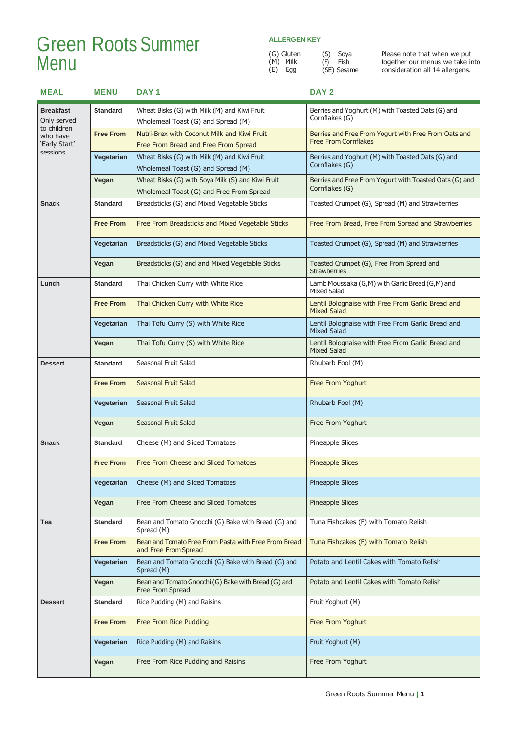## Green RootsSummer  $M$ enu  $\overset{(G)}{\underset{(E)}{\text{Mille}}}$

### **ALLERGEN KEY**

(S) Soya (F) Fish (SE) Sesame

|     | (G) Gluten |  |
|-----|------------|--|
|     | (M) Milk   |  |
| (E) | Egg        |  |

| <b>MEAL</b>                                          | <b>MENU</b>      | DAY <sub>1</sub>                                                                              | DAY <sub>2</sub>                                                                    |
|------------------------------------------------------|------------------|-----------------------------------------------------------------------------------------------|-------------------------------------------------------------------------------------|
| <b>Breakfast</b><br>Only served                      | <b>Standard</b>  | Wheat Bisks (G) with Milk (M) and Kiwi Fruit<br>Wholemeal Toast (G) and Spread (M)            | Berries and Yoghurt (M) with Toasted Oats (G) and<br>Cornflakes (G)                 |
| to children<br>who have<br>'Early Start'<br>sessions | <b>Free From</b> | Nutri-Brex with Coconut Milk and Kiwi Fruit<br>Free From Bread and Free From Spread           | Berries and Free From Yogurt with Free From Oats and<br><b>Free From Cornflakes</b> |
|                                                      | Vegetarian       | Wheat Bisks (G) with Milk (M) and Kiwi Fruit<br>Wholemeal Toast (G) and Spread (M)            | Berries and Yoghurt (M) with Toasted Oats (G) and<br>Cornflakes (G)                 |
|                                                      | Vegan            | Wheat Bisks (G) with Soya Milk (S) and Kiwi Fruit<br>Wholemeal Toast (G) and Free From Spread | Berries and Free From Yogurt with Toasted Oats (G) and<br>Cornflakes (G)            |
| <b>Snack</b>                                         | <b>Standard</b>  | Breadsticks (G) and Mixed Vegetable Sticks                                                    | Toasted Crumpet (G), Spread (M) and Strawberries                                    |
|                                                      | <b>Free From</b> | Free From Breadsticks and Mixed Vegetable Sticks                                              | Free From Bread, Free From Spread and Strawberries                                  |
|                                                      | Vegetarian       | Breadsticks (G) and Mixed Vegetable Sticks                                                    | Toasted Crumpet (G), Spread (M) and Strawberries                                    |
|                                                      | Vegan            | Breadsticks (G) and and Mixed Vegetable Sticks                                                | Toasted Crumpet (G), Free From Spread and<br><b>Strawberries</b>                    |
| Lunch                                                | <b>Standard</b>  | Thai Chicken Curry with White Rice                                                            | Lamb Moussaka (G,M) with Garlic Bread (G,M) and<br><b>Mixed Salad</b>               |
|                                                      | <b>Free From</b> | Thai Chicken Curry with White Rice                                                            | Lentil Bolognaise with Free From Garlic Bread and<br><b>Mixed Salad</b>             |
|                                                      | Vegetarian       | Thai Tofu Curry (S) with White Rice                                                           | Lentil Bolognaise with Free From Garlic Bread and<br><b>Mixed Salad</b>             |
|                                                      | Vegan            | Thai Tofu Curry (S) with White Rice                                                           | Lentil Bolognaise with Free From Garlic Bread and<br><b>Mixed Salad</b>             |
| <b>Dessert</b>                                       | <b>Standard</b>  | Seasonal Fruit Salad                                                                          | Rhubarb Fool (M)                                                                    |
|                                                      | <b>Free From</b> | Seasonal Fruit Salad                                                                          | Free From Yoghurt                                                                   |
|                                                      | Vegetarian       | Seasonal Fruit Salad                                                                          | Rhubarb Fool (M)                                                                    |
|                                                      | Vegan            | Seasonal Fruit Salad                                                                          | Free From Yoghurt                                                                   |
| <b>Snack</b>                                         | <b>Standard</b>  | Cheese (M) and Sliced Tomatoes                                                                | Pineapple Slices                                                                    |
|                                                      | <b>Free From</b> | Free From Cheese and Sliced Tomatoes                                                          | <b>Pineapple Slices</b>                                                             |
|                                                      | Vegetarian       | Cheese (M) and Sliced Tomatoes                                                                | <b>Pineapple Slices</b>                                                             |
|                                                      | Vegan            | Free From Cheese and Sliced Tomatoes                                                          | <b>Pineapple Slices</b>                                                             |
| Tea                                                  | <b>Standard</b>  | Bean and Tomato Gnocchi (G) Bake with Bread (G) and<br>Spread (M)                             | Tuna Fishcakes (F) with Tomato Relish                                               |
|                                                      | <b>Free From</b> | Bean and Tomato Free From Pasta with Free From Bread<br>and Free From Spread                  | Tuna Fishcakes (F) with Tomato Relish                                               |
|                                                      | Vegetarian       | Bean and Tomato Gnocchi (G) Bake with Bread (G) and<br>Spread (M)                             | Potato and Lentil Cakes with Tomato Relish                                          |
|                                                      | Vegan            | Bean and Tomato Gnocchi (G) Bake with Bread (G) and<br>Free From Spread                       | Potato and Lentil Cakes with Tomato Relish                                          |
| <b>Dessert</b>                                       | <b>Standard</b>  | Rice Pudding (M) and Raisins                                                                  | Fruit Yoghurt (M)                                                                   |
|                                                      | <b>Free From</b> | <b>Free From Rice Pudding</b>                                                                 | Free From Yoghurt                                                                   |
|                                                      | Vegetarian       | Rice Pudding (M) and Raisins                                                                  | Fruit Yoghurt (M)                                                                   |
|                                                      | Vegan            | Free From Rice Pudding and Raisins                                                            | Free From Yoghurt                                                                   |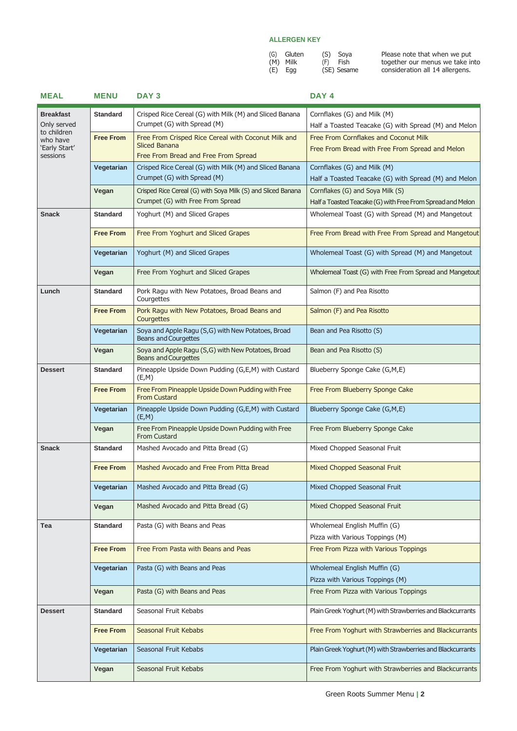| (G) Gluten | (S) Soya    |
|------------|-------------|
| (M) Milk   | (F) Fish    |
| $(E)$ Egg  | (SE) Sesame |

| <b>MEAL</b>                | <b>MENU</b>      | DAY <sub>3</sub>                                                                       | DAY <sub>4</sub>                                                                         |
|----------------------------|------------------|----------------------------------------------------------------------------------------|------------------------------------------------------------------------------------------|
| <b>Breakfast</b>           | <b>Standard</b>  | Crisped Rice Cereal (G) with Milk (M) and Sliced Banana                                | Cornflakes (G) and Milk (M)                                                              |
| Only served<br>to children |                  | Crumpet (G) with Spread (M)                                                            | Half a Toasted Teacake (G) with Spread (M) and Melon                                     |
| who have<br>'Early Start'  | <b>Free From</b> | Free From Crisped Rice Cereal with Coconut Milk and<br><b>Sliced Banana</b>            | Free From Cornflakes and Coconut Milk<br>Free From Bread with Free From Spread and Melon |
| sessions                   |                  | Free From Bread and Free From Spread                                                   |                                                                                          |
|                            | Vegetarian       | Crisped Rice Cereal (G) with Milk (M) and Sliced Banana<br>Crumpet (G) with Spread (M) | Cornflakes (G) and Milk (M)<br>Half a Toasted Teacake (G) with Spread (M) and Melon      |
|                            | Vegan            | Crisped Rice Cereal (G) with Soya Milk (S) and Sliced Banana                           | Cornflakes (G) and Soya Milk (S)                                                         |
|                            |                  | Crumpet (G) with Free From Spread                                                      | Half a Toasted Teacake (G) with Free From Spread and Melon                               |
| <b>Snack</b>               | <b>Standard</b>  | Yoghurt (M) and Sliced Grapes                                                          | Wholemeal Toast (G) with Spread (M) and Mangetout                                        |
|                            | <b>Free From</b> | Free From Yoghurt and Sliced Grapes                                                    | Free From Bread with Free From Spread and Mangetout                                      |
|                            | Vegetarian       | Yoghurt (M) and Sliced Grapes                                                          | Wholemeal Toast (G) with Spread (M) and Mangetout                                        |
|                            | Vegan            | Free From Yoghurt and Sliced Grapes                                                    | Wholemeal Toast (G) with Free From Spread and Mangetout                                  |
| Lunch                      | <b>Standard</b>  | Pork Ragu with New Potatoes, Broad Beans and<br>Courgettes                             | Salmon (F) and Pea Risotto                                                               |
|                            | <b>Free From</b> | Pork Ragu with New Potatoes, Broad Beans and<br>Courgettes                             | Salmon (F) and Pea Risotto                                                               |
|                            | Vegetarian       | Soya and Apple Ragu (S,G) with New Potatoes, Broad<br><b>Beans and Courgettes</b>      | Bean and Pea Risotto (S)                                                                 |
|                            | Vegan            | Soya and Apple Ragu (S,G) with New Potatoes, Broad<br><b>Beans and Courgettes</b>      | Bean and Pea Risotto (S)                                                                 |
| <b>Dessert</b>             | <b>Standard</b>  | Pineapple Upside Down Pudding (G,E,M) with Custard<br>(E, M)                           | Blueberry Sponge Cake (G,M,E)                                                            |
|                            | <b>Free From</b> | Free From Pineapple Upside Down Pudding with Free<br><b>From Custard</b>               | Free From Blueberry Sponge Cake                                                          |
|                            | Vegetarian       | Pineapple Upside Down Pudding (G,E,M) with Custard<br>(E,M)                            | Blueberry Sponge Cake (G,M,E)                                                            |
|                            | Vegan            | Free From Pineapple Upside Down Pudding with Free<br><b>From Custard</b>               | Free From Blueberry Sponge Cake                                                          |
| <b>Snack</b>               | <b>Standard</b>  | Mashed Avocado and Pitta Bread (G)                                                     | Mixed Chopped Seasonal Fruit                                                             |
|                            | <b>Free From</b> | Mashed Avocado and Free From Pitta Bread                                               | Mixed Chopped Seasonal Fruit                                                             |
|                            | Vegetarian       | Mashed Avocado and Pitta Bread (G)                                                     | Mixed Chopped Seasonal Fruit                                                             |
|                            | Vegan            | Mashed Avocado and Pitta Bread (G)                                                     | Mixed Chopped Seasonal Fruit                                                             |
| Tea                        | <b>Standard</b>  | Pasta (G) with Beans and Peas                                                          | Wholemeal English Muffin (G)<br>Pizza with Various Toppings (M)                          |
|                            | <b>Free From</b> | Free From Pasta with Beans and Peas                                                    | Free From Pizza with Various Toppings                                                    |
|                            | Vegetarian       | Pasta (G) with Beans and Peas                                                          | Wholemeal English Muffin (G)                                                             |
|                            |                  |                                                                                        | Pizza with Various Toppings (M)                                                          |
|                            | Vegan            | Pasta (G) with Beans and Peas                                                          | Free From Pizza with Various Toppings                                                    |
| <b>Dessert</b>             | <b>Standard</b>  | Seasonal Fruit Kebabs                                                                  | Plain Greek Yoghurt (M) with Strawberries and Blackcurrants                              |
|                            | <b>Free From</b> | Seasonal Fruit Kebabs                                                                  | Free From Yoghurt with Strawberries and Blackcurrants                                    |
|                            | Vegetarian       | Seasonal Fruit Kebabs                                                                  | Plain Greek Yoghurt (M) with Strawberries and Blackcurrants                              |
|                            | Vegan            | Seasonal Fruit Kebabs                                                                  | Free From Yoghurt with Strawberries and Blackcurrants                                    |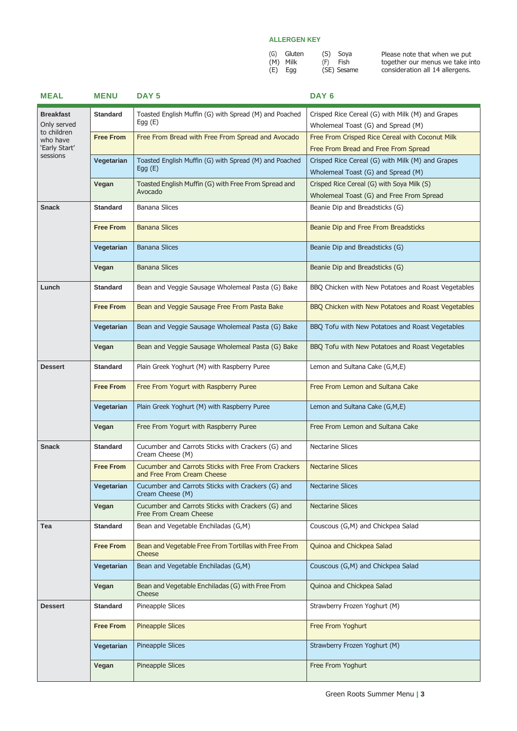| (G) Gluten | (S) Soya    |
|------------|-------------|
| (M) Milk   | (F) Fish    |
| $(E)$ Egg  | (SE) Sesame |

| <b>MEAL</b>                                             | <b>MENU</b>      | DAY <sub>5</sub>                                                                  | DAY <sub>6</sub>                                                                        |
|---------------------------------------------------------|------------------|-----------------------------------------------------------------------------------|-----------------------------------------------------------------------------------------|
| <b>Breakfast</b>                                        | <b>Standard</b>  | Toasted English Muffin (G) with Spread (M) and Poached<br>Egg $(E)$               | Crisped Rice Cereal (G) with Milk (M) and Grapes                                        |
| Only served<br>to children<br>who have<br>'Early Start' |                  |                                                                                   | Wholemeal Toast (G) and Spread (M)                                                      |
|                                                         | <b>Free From</b> | Free From Bread with Free From Spread and Avocado                                 | Free From Crisped Rice Cereal with Coconut Milk<br>Free From Bread and Free From Spread |
| sessions                                                |                  |                                                                                   |                                                                                         |
|                                                         | Vegetarian       | Toasted English Muffin (G) with Spread (M) and Poached<br>Egg $(E)$               | Crisped Rice Cereal (G) with Milk (M) and Grapes<br>Wholemeal Toast (G) and Spread (M)  |
|                                                         | Vegan            | Toasted English Muffin (G) with Free From Spread and                              | Crisped Rice Cereal (G) with Soya Milk (S)                                              |
|                                                         |                  | Avocado                                                                           | Wholemeal Toast (G) and Free From Spread                                                |
| <b>Snack</b>                                            | <b>Standard</b>  | <b>Banana Slices</b>                                                              | Beanie Dip and Breadsticks (G)                                                          |
|                                                         | <b>Free From</b> | <b>Banana Slices</b>                                                              | Beanie Dip and Free From Breadsticks                                                    |
|                                                         |                  |                                                                                   |                                                                                         |
|                                                         | Vegetarian       | <b>Banana Slices</b>                                                              | Beanie Dip and Breadsticks (G)                                                          |
|                                                         | Vegan            | <b>Banana Slices</b>                                                              | Beanie Dip and Breadsticks (G)                                                          |
| Lunch                                                   | <b>Standard</b>  | Bean and Veggie Sausage Wholemeal Pasta (G) Bake                                  | BBQ Chicken with New Potatoes and Roast Vegetables                                      |
|                                                         | <b>Free From</b> | Bean and Veggie Sausage Free From Pasta Bake                                      | BBQ Chicken with New Potatoes and Roast Vegetables                                      |
|                                                         | Vegetarian       | Bean and Veggie Sausage Wholemeal Pasta (G) Bake                                  | BBQ Tofu with New Potatoes and Roast Vegetables                                         |
|                                                         | Vegan            | Bean and Veggie Sausage Wholemeal Pasta (G) Bake                                  | BBQ Tofu with New Potatoes and Roast Vegetables                                         |
| <b>Dessert</b>                                          | <b>Standard</b>  | Plain Greek Yoghurt (M) with Raspberry Puree                                      | Lemon and Sultana Cake (G,M,E)                                                          |
|                                                         | <b>Free From</b> | Free From Yogurt with Raspberry Puree                                             | Free From Lemon and Sultana Cake                                                        |
|                                                         | Vegetarian       | Plain Greek Yoghurt (M) with Raspberry Puree                                      | Lemon and Sultana Cake (G,M,E)                                                          |
|                                                         | Vegan            | Free From Yogurt with Raspberry Puree                                             | Free From Lemon and Sultana Cake                                                        |
| <b>Snack</b>                                            | <b>Standard</b>  | Cucumber and Carrots Sticks with Crackers (G) and<br>Cream Cheese (M)             | <b>Nectarine Slices</b>                                                                 |
|                                                         | <b>Free From</b> | Cucumber and Carrots Sticks with Free From Crackers<br>and Free From Cream Cheese | <b>Nectarine Slices</b>                                                                 |
|                                                         | Vegetarian       | Cucumber and Carrots Sticks with Crackers (G) and<br>Cream Cheese (M)             | <b>Nectarine Slices</b>                                                                 |
|                                                         | Vegan            | Cucumber and Carrots Sticks with Crackers (G) and<br>Free From Cream Cheese       | <b>Nectarine Slices</b>                                                                 |
| Tea                                                     | <b>Standard</b>  | Bean and Vegetable Enchiladas (G,M)                                               | Couscous (G,M) and Chickpea Salad                                                       |
|                                                         | <b>Free From</b> | Bean and Vegetable Free From Tortillas with Free From<br>Cheese                   | Quinoa and Chickpea Salad                                                               |
|                                                         | Vegetarian       | Bean and Vegetable Enchiladas (G,M)                                               | Couscous (G,M) and Chickpea Salad                                                       |
|                                                         | Vegan            | Bean and Vegetable Enchiladas (G) with Free From<br>Cheese                        | Quinoa and Chickpea Salad                                                               |
| <b>Dessert</b>                                          | <b>Standard</b>  | Pineapple Slices                                                                  | Strawberry Frozen Yoghurt (M)                                                           |
|                                                         | <b>Free From</b> | <b>Pineapple Slices</b>                                                           | Free From Yoghurt                                                                       |
|                                                         | Vegetarian       | <b>Pineapple Slices</b>                                                           | Strawberry Frozen Yoghurt (M)                                                           |
|                                                         | Vegan            | Pineapple Slices                                                                  | Free From Yoghurt                                                                       |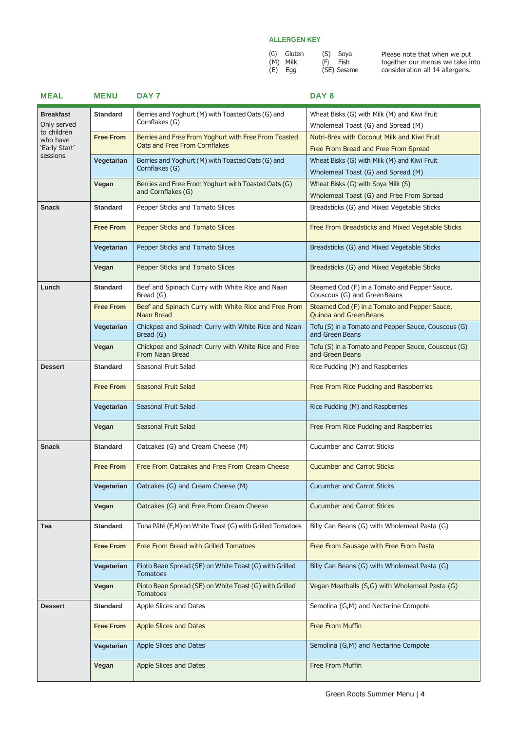| (G) Gluten | (S) Soya    |
|------------|-------------|
| (M) Milk   | (F) Fish    |
| (E) Egg    | (SE) Sesame |

| <b>MEAL</b>                     | <b>MENU</b>      | DAY 7                                                                                 | DAY <sub>8</sub>                                                                   |
|---------------------------------|------------------|---------------------------------------------------------------------------------------|------------------------------------------------------------------------------------|
| <b>Breakfast</b><br>Only served | <b>Standard</b>  | Berries and Yoghurt (M) with Toasted Oats (G) and<br>Cornflakes (G)                   | Wheat Bisks (G) with Milk (M) and Kiwi Fruit<br>Wholemeal Toast (G) and Spread (M) |
| to children                     |                  |                                                                                       |                                                                                    |
| who have<br>'Early Start'       | <b>Free From</b> | Berries and Free From Yoghurt with Free From Toasted<br>Oats and Free From Cornflakes | Nutri-Brex with Coconut Milk and Kiwi Fruit                                        |
| sessions                        |                  |                                                                                       | Free From Bread and Free From Spread                                               |
|                                 | Vegetarian       | Berries and Yoghurt (M) with Toasted Oats (G) and<br>Cornflakes (G)                   | Wheat Bisks (G) with Milk (M) and Kiwi Fruit                                       |
|                                 |                  |                                                                                       | Wholemeal Toast (G) and Spread (M)                                                 |
|                                 | Vegan            | Berries and Free From Yoghurt with Toasted Oats (G)<br>and Cornflakes (G)             | Wheat Bisks (G) with Soya Milk (S)                                                 |
|                                 |                  |                                                                                       | Wholemeal Toast (G) and Free From Spread                                           |
| <b>Snack</b>                    | <b>Standard</b>  | Pepper Sticks and Tomato Slices                                                       | Breadsticks (G) and Mixed Vegetable Sticks                                         |
|                                 | <b>Free From</b> | Pepper Sticks and Tomato Slices                                                       | Free From Breadsticks and Mixed Vegetable Sticks                                   |
|                                 | Vegetarian       | Pepper Sticks and Tomato Slices                                                       | Breadsticks (G) and Mixed Vegetable Sticks                                         |
|                                 | Vegan            | Pepper Sticks and Tomato Slices                                                       | Breadsticks (G) and Mixed Vegetable Sticks                                         |
| Lunch                           | <b>Standard</b>  | Beef and Spinach Curry with White Rice and Naan<br>Bread (G)                          | Steamed Cod (F) in a Tomato and Pepper Sauce,<br>Couscous (G) and Green Beans      |
|                                 | <b>Free From</b> | Beef and Spinach Curry with White Rice and Free From<br>Naan Bread                    | Steamed Cod (F) in a Tomato and Pepper Sauce,<br><b>Ouinoa and Green Beans</b>     |
|                                 | Vegetarian       | Chickpea and Spinach Curry with White Rice and Naan<br>Bread (G)                      | Tofu (S) in a Tomato and Pepper Sauce, Couscous (G)<br>and Green Beans             |
|                                 | Vegan            | Chickpea and Spinach Curry with White Rice and Free<br>From Naan Bread                | Tofu (S) in a Tomato and Pepper Sauce, Couscous (G)<br>and Green Beans             |
| <b>Dessert</b>                  | <b>Standard</b>  | Seasonal Fruit Salad                                                                  | Rice Pudding (M) and Raspberries                                                   |
|                                 | <b>Free From</b> | Seasonal Fruit Salad                                                                  | Free From Rice Pudding and Raspberries                                             |
|                                 | Vegetarian       | Seasonal Fruit Salad                                                                  | Rice Pudding (M) and Raspberries                                                   |
|                                 | Vegan            | Seasonal Fruit Salad                                                                  | Free From Rice Pudding and Raspberries                                             |
| <b>Snack</b>                    | <b>Standard</b>  | Oatcakes (G) and Cream Cheese (M)                                                     | <b>Cucumber and Carrot Sticks</b>                                                  |
|                                 | <b>Free From</b> | Free From Oatcakes and Free From Cream Cheese                                         | <b>Cucumber and Carrot Sticks</b>                                                  |
|                                 | Vegetarian       | Oatcakes (G) and Cream Cheese (M)                                                     | <b>Cucumber and Carrot Sticks</b>                                                  |
|                                 | Vegan            | Oatcakes (G) and Free From Cream Cheese                                               | <b>Cucumber and Carrot Sticks</b>                                                  |
| Tea                             | <b>Standard</b>  | Tuna Pâté (F,M) on White Toast (G) with Grilled Tomatoes                              | Billy Can Beans (G) with Wholemeal Pasta (G)                                       |
|                                 | <b>Free From</b> | Free From Bread with Grilled Tomatoes                                                 | Free From Sausage with Free From Pasta                                             |
|                                 | Vegetarian       | Pinto Bean Spread (SE) on White Toast (G) with Grilled<br><b>Tomatoes</b>             | Billy Can Beans (G) with Wholemeal Pasta (G)                                       |
|                                 | Vegan            | Pinto Bean Spread (SE) on White Toast (G) with Grilled<br><b>Tomatoes</b>             | Vegan Meatballs (S,G) with Wholemeal Pasta (G)                                     |
| <b>Dessert</b>                  | <b>Standard</b>  | Apple Slices and Dates                                                                | Semolina (G,M) and Nectarine Compote                                               |
|                                 | <b>Free From</b> | <b>Apple Slices and Dates</b>                                                         | Free From Muffin                                                                   |
|                                 | Vegetarian       | Apple Slices and Dates                                                                | Semolina (G,M) and Nectarine Compote                                               |
|                                 | Vegan            | Apple Slices and Dates                                                                | Free From Muffin                                                                   |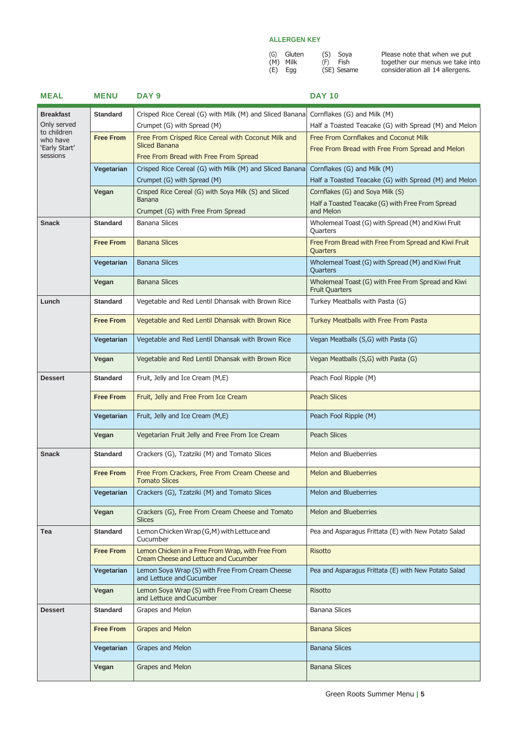| (G) Gluten | (S) Soya    |
|------------|-------------|
| (M) Milk   | (F) Fish    |
| $(E)$ Egg  | (SE) Sesame |

| <b>MEAL</b>               | <b>MENU</b>      | DAY <sub>9</sub>                                                                           | <b>DAY 10</b>                                                               |
|---------------------------|------------------|--------------------------------------------------------------------------------------------|-----------------------------------------------------------------------------|
| <b>Breakfast</b>          | <b>Standard</b>  | Crisped Rice Cereal (G) with Milk (M) and Sliced Banana                                    | Cornflakes (G) and Milk (M)                                                 |
| Only served               |                  | Crumpet (G) with Spread (M)                                                                | Half a Toasted Teacake (G) with Spread (M) and Melon                        |
| to children<br>who have   | <b>Free From</b> | Free From Crisped Rice Cereal with Coconut Milk and                                        | Free From Cornflakes and Coconut Milk                                       |
| 'Early Start'<br>sessions |                  | <b>Sliced Banana</b><br>Free From Bread with Free From Spread                              | Free From Bread with Free From Spread and Melon                             |
|                           | Vegetarian       | Crisped Rice Cereal (G) with Milk (M) and Sliced Banana                                    | Cornflakes (G) and Milk (M)                                                 |
|                           |                  | Crumpet (G) with Spread (M)                                                                | Half a Toasted Teacake (G) with Spread (M) and Melon                        |
|                           | Vegan            | Crisped Rice Cereal (G) with Soya Milk (S) and Sliced                                      | Cornflakes (G) and Soya Milk (S)                                            |
|                           |                  | <b>Banana</b><br>Crumpet (G) with Free From Spread                                         | Half a Toasted Teacake (G) with Free From Spread<br>and Melon               |
| <b>Snack</b>              | <b>Standard</b>  | <b>Banana Slices</b>                                                                       | Wholemeal Toast (G) with Spread (M) and Kiwi Fruit<br>Quarters              |
|                           | <b>Free From</b> | <b>Banana Slices</b>                                                                       | Free From Bread with Free From Spread and Kiwi Fruit<br>Quarters            |
|                           | Vegetarian       | <b>Banana Slices</b>                                                                       | Wholemeal Toast (G) with Spread (M) and Kiwi Fruit<br>Quarters              |
|                           | Vegan            | <b>Banana Slices</b>                                                                       | Wholemeal Toast (G) with Free From Spread and Kiwi<br><b>Fruit Quarters</b> |
| Lunch                     | <b>Standard</b>  | Vegetable and Red Lentil Dhansak with Brown Rice                                           | Turkey Meatballs with Pasta (G)                                             |
|                           | <b>Free From</b> | Vegetable and Red Lentil Dhansak with Brown Rice                                           | Turkey Meatballs with Free From Pasta                                       |
|                           | Vegetarian       | Vegetable and Red Lentil Dhansak with Brown Rice                                           | Vegan Meatballs (S,G) with Pasta (G)                                        |
|                           | Vegan            | Vegetable and Red Lentil Dhansak with Brown Rice                                           | Vegan Meatballs (S,G) with Pasta (G)                                        |
| <b>Dessert</b>            | <b>Standard</b>  | Fruit, Jelly and Ice Cream (M,E)                                                           | Peach Fool Ripple (M)                                                       |
|                           | <b>Free From</b> | Fruit, Jelly and Free From Ice Cream                                                       | <b>Peach Slices</b>                                                         |
|                           | Vegetarian       | Fruit, Jelly and Ice Cream (M,E)                                                           | Peach Fool Ripple (M)                                                       |
|                           | Vegan            | Vegetarian Fruit Jelly and Free From Ice Cream                                             | <b>Peach Slices</b>                                                         |
| <b>Snack</b>              | <b>Standard</b>  | Crackers (G), Tzatziki (M) and Tomato Slices                                               | Melon and Blueberries                                                       |
|                           | <b>Free From</b> | Free From Crackers, Free From Cream Cheese and<br><b>Tomato Slices</b>                     | <b>Melon and Blueberries</b>                                                |
|                           | Vegetarian       | Crackers (G), Tzatziki (M) and Tomato Slices                                               | Melon and Blueberries                                                       |
|                           | Vegan            | Crackers (G), Free From Cream Cheese and Tomato<br><b>Slices</b>                           | Melon and Blueberries                                                       |
| Tea                       | <b>Standard</b>  | Lemon Chicken Wrap (G,M) with Lettuce and<br>Cucumber                                      | Pea and Asparagus Frittata (E) with New Potato Salad                        |
|                           | <b>Free From</b> | Lemon Chicken in a Free From Wrap, with Free From<br>Cream Cheese and Lettuce and Cucumber | <b>Risotto</b>                                                              |
|                           | Vegetarian       | Lemon Soya Wrap (S) with Free From Cream Cheese<br>and Lettuce and Cucumber                | Pea and Asparagus Frittata (E) with New Potato Salad                        |
|                           | Vegan            | Lemon Soya Wrap (S) with Free From Cream Cheese<br>and Lettuce and Cucumber                | <b>Risotto</b>                                                              |
| <b>Dessert</b>            | <b>Standard</b>  | Grapes and Melon                                                                           | <b>Banana Slices</b>                                                        |
|                           | <b>Free From</b> | <b>Grapes and Melon</b>                                                                    | <b>Banana Slices</b>                                                        |
|                           | Vegetarian       | Grapes and Melon                                                                           | <b>Banana Slices</b>                                                        |
|                           | Vegan            | Grapes and Melon                                                                           | <b>Banana Slices</b>                                                        |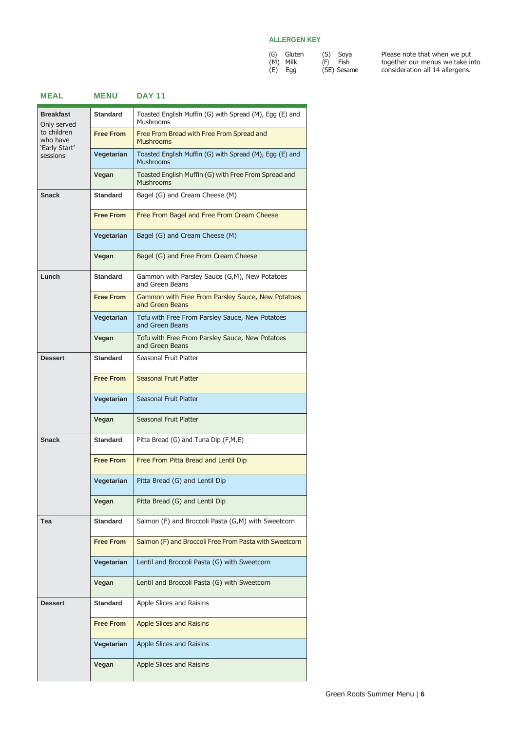(S) Soya (F) Fish (SE) Sesame

| (G) | Gluten |  |
|-----|--------|--|
| (M) | Milk   |  |
| (E) | Egg    |  |

| <b>MEAL</b>                              | <b>MENU</b>      | <b>DAY 11</b>                                                               |
|------------------------------------------|------------------|-----------------------------------------------------------------------------|
| <b>Breakfast</b><br>Only served          | <b>Standard</b>  | Toasted English Muffin (G) with Spread (M), Egg (E) and<br><b>Mushrooms</b> |
| to children<br>who have<br>'Early Start' | <b>Free From</b> | Free From Bread with Free From Spread and<br><b>Mushrooms</b>               |
| sessions                                 | Vegetarian       | Toasted English Muffin (G) with Spread (M), Egg (E) and<br><b>Mushrooms</b> |
|                                          | Vegan            | Toasted English Muffin (G) with Free From Spread and<br><b>Mushrooms</b>    |
| <b>Snack</b>                             | <b>Standard</b>  | Bagel (G) and Cream Cheese (M)                                              |
|                                          | <b>Free From</b> | Free From Bagel and Free From Cream Cheese                                  |
|                                          | Vegetarian       | Bagel (G) and Cream Cheese (M)                                              |
|                                          | Vegan            | Bagel (G) and Free From Cream Cheese                                        |
| Lunch                                    | <b>Standard</b>  | Gammon with Parsley Sauce (G,M), New Potatoes<br>and Green Beans            |
|                                          | <b>Free From</b> | Gammon with Free From Parsley Sauce, New Potatoes<br>and Green Beans        |
|                                          | Vegetarian       | Tofu with Free From Parsley Sauce, New Potatoes<br>and Green Beans          |
|                                          | Vegan            | Tofu with Free From Parsley Sauce, New Potatoes<br>and Green Beans          |
| <b>Dessert</b>                           | <b>Standard</b>  | Seasonal Fruit Platter                                                      |
|                                          | <b>Free From</b> | Seasonal Fruit Platter                                                      |
|                                          | Vegetarian       | Seasonal Fruit Platter                                                      |
|                                          | Vegan            | Seasonal Fruit Platter                                                      |
| <b>Snack</b>                             | <b>Standard</b>  | Pitta Bread (G) and Tuna Dip (F,M,E)                                        |
|                                          | <b>Free From</b> | Free From Pitta Bread and Lentil Dip                                        |
|                                          | Vegetarian       | Pitta Bread (G) and Lentil Dip                                              |
|                                          | Vegan            | Pitta Bread (G) and Lentil Dip                                              |
| Tea                                      | Standard         | Salmon (F) and Broccoli Pasta (G,M) with Sweetcorn                          |
|                                          | <b>Free From</b> | Salmon (F) and Broccoli Free From Pasta with Sweetcorn                      |
|                                          | Vegetarian       | Lentil and Broccoli Pasta (G) with Sweetcorn                                |
|                                          | Vegan            | Lentil and Broccoli Pasta (G) with Sweetcorn                                |
| <b>Dessert</b>                           | Standard         | Apple Slices and Raisins                                                    |
|                                          | <b>Free From</b> | Apple Slices and Raisins                                                    |
|                                          | Vegetarian       | Apple Slices and Raisins                                                    |
|                                          | Vegan            | Apple Slices and Raisins                                                    |
|                                          |                  |                                                                             |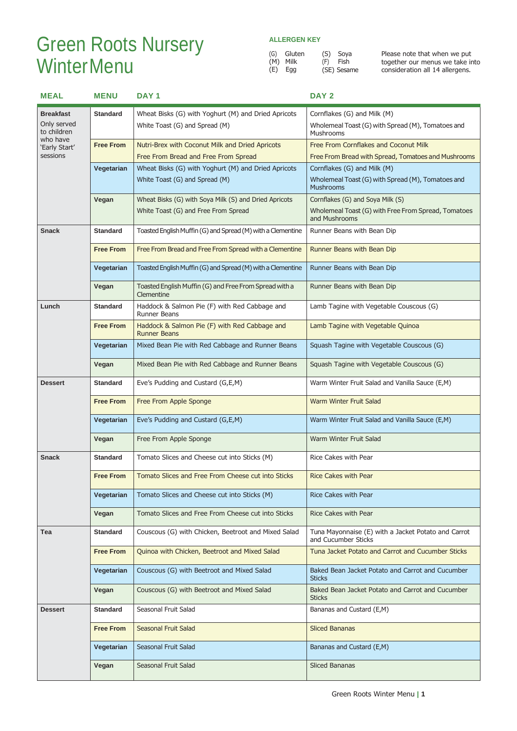# Green Roots Nursery **WinterMenu**

### **ALLERGEN KEY**

|     | (G) Gluten | (S) Soya    |
|-----|------------|-------------|
| (M) | Milk       | $(F)$ Fish  |
|     | (E) Egg    | (SE) Sesame |

Soya

| <b>MEAL</b>                | <b>MENU</b>      | DAY <sub>1</sub>                                                     | DAY <sub>2</sub>                                                           |
|----------------------------|------------------|----------------------------------------------------------------------|----------------------------------------------------------------------------|
| <b>Breakfast</b>           | <b>Standard</b>  | Wheat Bisks (G) with Yoghurt (M) and Dried Apricots                  | Cornflakes (G) and Milk (M)                                                |
| Only served<br>to children |                  | White Toast (G) and Spread (M)                                       | Wholemeal Toast (G) with Spread (M), Tomatoes and<br>Mushrooms             |
| who have<br>'Early Start'  | <b>Free From</b> | Nutri-Brex with Coconut Milk and Dried Apricots                      | Free From Cornflakes and Coconut Milk                                      |
| sessions                   |                  | Free From Bread and Free From Spread                                 | Free From Bread with Spread, Tomatoes and Mushrooms                        |
|                            | Vegetarian       | Wheat Bisks (G) with Yoghurt (M) and Dried Apricots                  | Cornflakes (G) and Milk (M)                                                |
|                            |                  | White Toast (G) and Spread (M)                                       | Wholemeal Toast (G) with Spread (M), Tomatoes and<br><b>Mushrooms</b>      |
|                            | Vegan            | Wheat Bisks (G) with Soya Milk (S) and Dried Apricots                | Cornflakes (G) and Soya Milk (S)                                           |
|                            |                  | White Toast (G) and Free From Spread                                 | Wholemeal Toast (G) with Free From Spread, Tomatoes<br>and Mushrooms       |
| <b>Snack</b>               | <b>Standard</b>  | Toasted English Muffin (G) and Spread (M) with a Clementine          | Runner Beans with Bean Dip                                                 |
|                            | <b>Free From</b> | Free From Bread and Free From Spread with a Clementine               | Runner Beans with Bean Dip                                                 |
|                            | Vegetarian       | Toasted English Muffin (G) and Spread (M) with a Clementine          | Runner Beans with Bean Dip                                                 |
|                            | Vegan            | Toasted English Muffin (G) and Free From Spread with a<br>Clementine | Runner Beans with Bean Dip                                                 |
| Lunch                      | <b>Standard</b>  | Haddock & Salmon Pie (F) with Red Cabbage and<br><b>Runner Beans</b> | Lamb Tagine with Vegetable Couscous (G)                                    |
|                            | <b>Free From</b> | Haddock & Salmon Pie (F) with Red Cabbage and<br><b>Runner Beans</b> | Lamb Tagine with Vegetable Quinoa                                          |
|                            | Vegetarian       | Mixed Bean Pie with Red Cabbage and Runner Beans                     | Squash Tagine with Vegetable Couscous (G)                                  |
|                            | Vegan            | Mixed Bean Pie with Red Cabbage and Runner Beans                     | Squash Tagine with Vegetable Couscous (G)                                  |
| <b>Dessert</b>             | <b>Standard</b>  | Eve's Pudding and Custard (G,E,M)                                    | Warm Winter Fruit Salad and Vanilla Sauce (E,M)                            |
|                            | <b>Free From</b> | Free From Apple Sponge                                               | <b>Warm Winter Fruit Salad</b>                                             |
|                            | Vegetarian       | Eve's Pudding and Custard (G,E,M)                                    | Warm Winter Fruit Salad and Vanilla Sauce (E,M)                            |
|                            | Vegan            | Free From Apple Sponge                                               | Warm Winter Fruit Salad                                                    |
| <b>Snack</b>               | <b>Standard</b>  | Tomato Slices and Cheese cut into Sticks (M)                         | Rice Cakes with Pear                                                       |
|                            | <b>Free From</b> | Tomato Slices and Free From Cheese cut into Sticks                   | <b>Rice Cakes with Pear</b>                                                |
|                            | Vegetarian       | Tomato Slices and Cheese cut into Sticks (M)                         | <b>Rice Cakes with Pear</b>                                                |
|                            | Vegan            | Tomato Slices and Free From Cheese cut into Sticks                   | Rice Cakes with Pear                                                       |
| Tea                        | <b>Standard</b>  | Couscous (G) with Chicken, Beetroot and Mixed Salad                  | Tuna Mayonnaise (E) with a Jacket Potato and Carrot<br>and Cucumber Sticks |
|                            | <b>Free From</b> | Quinoa with Chicken, Beetroot and Mixed Salad                        | Tuna Jacket Potato and Carrot and Cucumber Sticks                          |
|                            | Vegetarian       | Couscous (G) with Beetroot and Mixed Salad                           | Baked Bean Jacket Potato and Carrot and Cucumber<br><b>Sticks</b>          |
|                            | Vegan            | Couscous (G) with Beetroot and Mixed Salad                           | Baked Bean Jacket Potato and Carrot and Cucumber<br><b>Sticks</b>          |
| <b>Dessert</b>             | <b>Standard</b>  | Seasonal Fruit Salad                                                 | Bananas and Custard (E,M)                                                  |
|                            | <b>Free From</b> | <b>Seasonal Fruit Salad</b>                                          | <b>Sliced Bananas</b>                                                      |
|                            | Vegetarian       | Seasonal Fruit Salad                                                 | Bananas and Custard (E,M)                                                  |
|                            | Vegan            | Seasonal Fruit Salad                                                 | Sliced Bananas                                                             |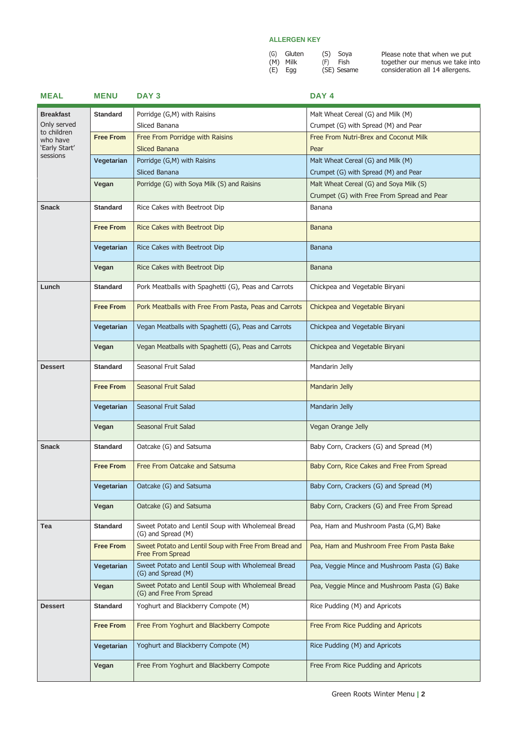| (G) Gluten | (S) Soya    |
|------------|-------------|
| (M) Milk   | (F) Fish    |
| $(E)$ Egg  | (SE) Sesame |

| <b>MEAL</b>             | <b>MENU</b>      | DAY <sub>3</sub>                                                              | DAY 4                                         |
|-------------------------|------------------|-------------------------------------------------------------------------------|-----------------------------------------------|
| <b>Breakfast</b>        | <b>Standard</b>  | Porridge (G,M) with Raisins                                                   | Malt Wheat Cereal (G) and Milk (M)            |
| Only served             |                  | Sliced Banana                                                                 | Crumpet (G) with Spread (M) and Pear          |
| to children<br>who have | <b>Free From</b> | Free From Porridge with Raisins                                               | Free From Nutri-Brex and Coconut Milk         |
| 'Early Start'           |                  | <b>Sliced Banana</b>                                                          | Pear                                          |
| sessions                | Vegetarian       | Porridge (G,M) with Raisins                                                   | Malt Wheat Cereal (G) and Milk (M)            |
|                         |                  | Sliced Banana                                                                 | Crumpet (G) with Spread (M) and Pear          |
|                         | Vegan            | Porridge (G) with Soya Milk (S) and Raisins                                   | Malt Wheat Cereal (G) and Soya Milk (S)       |
|                         |                  |                                                                               | Crumpet (G) with Free From Spread and Pear    |
| <b>Snack</b>            | <b>Standard</b>  | Rice Cakes with Beetroot Dip                                                  | Banana                                        |
|                         |                  |                                                                               |                                               |
|                         | <b>Free From</b> | Rice Cakes with Beetroot Dip                                                  | Banana                                        |
|                         | Vegetarian       | Rice Cakes with Beetroot Dip                                                  | Banana                                        |
|                         |                  |                                                                               |                                               |
|                         | Vegan            | Rice Cakes with Beetroot Dip                                                  | <b>Banana</b>                                 |
| Lunch                   | <b>Standard</b>  | Pork Meatballs with Spaghetti (G), Peas and Carrots                           | Chickpea and Vegetable Biryani                |
|                         | <b>Free From</b> | Pork Meatballs with Free From Pasta, Peas and Carrots                         | Chickpea and Vegetable Biryani                |
|                         | Vegetarian       | Vegan Meatballs with Spaghetti (G), Peas and Carrots                          | Chickpea and Vegetable Biryani                |
|                         | Vegan            | Vegan Meatballs with Spaghetti (G), Peas and Carrots                          | Chickpea and Vegetable Biryani                |
| <b>Dessert</b>          | <b>Standard</b>  | Seasonal Fruit Salad                                                          | Mandarin Jelly                                |
|                         | <b>Free From</b> | Seasonal Fruit Salad                                                          | Mandarin Jelly                                |
|                         | Vegetarian       | Seasonal Fruit Salad                                                          | Mandarin Jelly                                |
|                         | Vegan            | Seasonal Fruit Salad                                                          | Vegan Orange Jelly                            |
| <b>Snack</b>            | <b>Standard</b>  | Oatcake (G) and Satsuma                                                       | Baby Corn, Crackers (G) and Spread (M)        |
|                         | <b>Free From</b> | Free From Oatcake and Satsuma                                                 | Baby Corn, Rice Cakes and Free From Spread    |
|                         | Vegetarian       | Oatcake (G) and Satsuma                                                       | Baby Corn, Crackers (G) and Spread (M)        |
|                         | Vegan            | Oatcake (G) and Satsuma                                                       | Baby Corn, Crackers (G) and Free From Spread  |
| Tea                     | <b>Standard</b>  | Sweet Potato and Lentil Soup with Wholemeal Bread<br>(G) and Spread (M)       | Pea, Ham and Mushroom Pasta (G,M) Bake        |
|                         | <b>Free From</b> | Sweet Potato and Lentil Soup with Free From Bread and<br>Free From Spread     | Pea, Ham and Mushroom Free From Pasta Bake    |
|                         | Vegetarian       | Sweet Potato and Lentil Soup with Wholemeal Bread<br>(G) and Spread (M)       | Pea, Veggie Mince and Mushroom Pasta (G) Bake |
|                         | Vegan            | Sweet Potato and Lentil Soup with Wholemeal Bread<br>(G) and Free From Spread | Pea, Veggie Mince and Mushroom Pasta (G) Bake |
| <b>Dessert</b>          | <b>Standard</b>  | Yoghurt and Blackberry Compote (M)                                            | Rice Pudding (M) and Apricots                 |
|                         | <b>Free From</b> | Free From Yoghurt and Blackberry Compote                                      | Free From Rice Pudding and Apricots           |
|                         | Vegetarian       | Yoghurt and Blackberry Compote (M)                                            | Rice Pudding (M) and Apricots                 |
|                         | Vegan            | Free From Yoghurt and Blackberry Compote                                      | Free From Rice Pudding and Apricots           |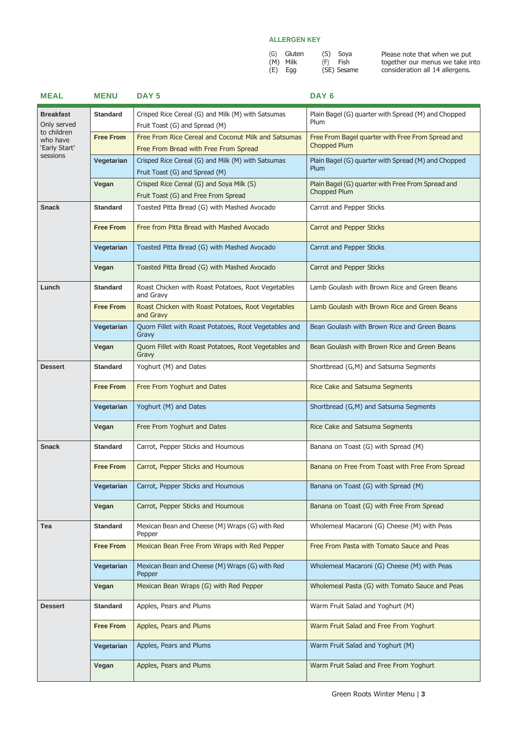| (G) Gluten | (S) Soya    |
|------------|-------------|
| (M) Milk   | (F) Fish    |
| $(E)$ Egg  | (SE) Sesame |

| <b>MEAL</b>                                          | <b>MENU</b>              | DAY <sub>5</sub>                                                                             | DAY <sub>6</sub>                                                         |
|------------------------------------------------------|--------------------------|----------------------------------------------------------------------------------------------|--------------------------------------------------------------------------|
| <b>Breakfast</b><br>Only served                      | <b>Standard</b>          | Crisped Rice Cereal (G) and Milk (M) with Satsumas<br>Fruit Toast (G) and Spread (M)         | Plain Bagel (G) quarter with Spread (M) and Chopped<br>Plum              |
| to children<br>who have<br>'Early Start'<br>sessions | <b>Free From</b>         | Free From Rice Cereal and Coconut Milk and Satsumas<br>Free From Bread with Free From Spread | Free From Bagel quarter with Free From Spread and<br><b>Chopped Plum</b> |
|                                                      | Vegetarian               | Crisped Rice Cereal (G) and Milk (M) with Satsumas<br>Fruit Toast (G) and Spread (M)         | Plain Bagel (G) quarter with Spread (M) and Chopped<br>Plum              |
|                                                      | Vegan                    | Crisped Rice Cereal (G) and Soya Milk (S)<br>Fruit Toast (G) and Free From Spread            | Plain Bagel (G) quarter with Free From Spread and<br>Chopped Plum        |
| <b>Snack</b>                                         | <b>Standard</b>          | Toasted Pitta Bread (G) with Mashed Avocado                                                  | Carrot and Pepper Sticks                                                 |
|                                                      | <b>Free From</b>         | Free from Pitta Bread with Mashed Avocado                                                    | <b>Carrot and Pepper Sticks</b>                                          |
|                                                      | Vegetarian               | Toasted Pitta Bread (G) with Mashed Avocado                                                  | Carrot and Pepper Sticks                                                 |
|                                                      | Vegan                    | Toasted Pitta Bread (G) with Mashed Avocado                                                  | Carrot and Pepper Sticks                                                 |
| Lunch                                                | <b>Standard</b>          | Roast Chicken with Roast Potatoes, Root Vegetables<br>and Gravy                              | Lamb Goulash with Brown Rice and Green Beans                             |
|                                                      | <b>Free From</b>         | Roast Chicken with Roast Potatoes, Root Vegetables<br>and Gravy                              | Lamb Goulash with Brown Rice and Green Beans                             |
|                                                      | Vegetarian               | Quorn Fillet with Roast Potatoes, Root Vegetables and<br>Gravy                               | Bean Goulash with Brown Rice and Green Beans                             |
|                                                      | Vegan                    | Quorn Fillet with Roast Potatoes, Root Vegetables and<br>Gravy                               | Bean Goulash with Brown Rice and Green Beans                             |
| <b>Dessert</b>                                       | <b>Standard</b>          | Yoghurt (M) and Dates                                                                        | Shortbread (G,M) and Satsuma Segments                                    |
|                                                      | <b>Free From</b>         | Free From Yoghurt and Dates                                                                  | Rice Cake and Satsuma Segments                                           |
|                                                      | Vegetarian               | Yoghurt (M) and Dates<br>Free From Yoghurt and Dates                                         | Shortbread (G,M) and Satsuma Segments<br>Rice Cake and Satsuma Segments  |
| <b>Snack</b>                                         | Vegan<br><b>Standard</b> | Carrot, Pepper Sticks and Houmous                                                            | Banana on Toast (G) with Spread (M)                                      |
|                                                      |                          |                                                                                              |                                                                          |
|                                                      | <b>Free From</b>         | Carrot, Pepper Sticks and Houmous                                                            | Banana on Free From Toast with Free From Spread                          |
|                                                      | Vegetarian               | Carrot, Pepper Sticks and Houmous                                                            | Banana on Toast (G) with Spread (M)                                      |
|                                                      | Vegan                    | Carrot, Pepper Sticks and Houmous                                                            | Banana on Toast (G) with Free From Spread                                |
| Tea                                                  | <b>Standard</b>          | Mexican Bean and Cheese (M) Wraps (G) with Red<br>Pepper                                     | Wholemeal Macaroni (G) Cheese (M) with Peas                              |
|                                                      | <b>Free From</b>         | Mexican Bean Free From Wraps with Red Pepper                                                 | Free From Pasta with Tomato Sauce and Peas                               |
|                                                      | Vegetarian               | Mexican Bean and Cheese (M) Wraps (G) with Red<br>Pepper                                     | Wholemeal Macaroni (G) Cheese (M) with Peas                              |
|                                                      | Vegan                    | Mexican Bean Wraps (G) with Red Pepper                                                       | Wholemeal Pasta (G) with Tomato Sauce and Peas                           |
| <b>Dessert</b>                                       | <b>Standard</b>          | Apples, Pears and Plums                                                                      | Warm Fruit Salad and Yoghurt (M)                                         |
|                                                      | <b>Free From</b>         | Apples, Pears and Plums                                                                      | Warm Fruit Salad and Free From Yoghurt                                   |
|                                                      | Vegetarian               | Apples, Pears and Plums                                                                      | Warm Fruit Salad and Yoghurt (M)                                         |
|                                                      | Vegan                    | Apples, Pears and Plums                                                                      | Warm Fruit Salad and Free From Yoghurt                                   |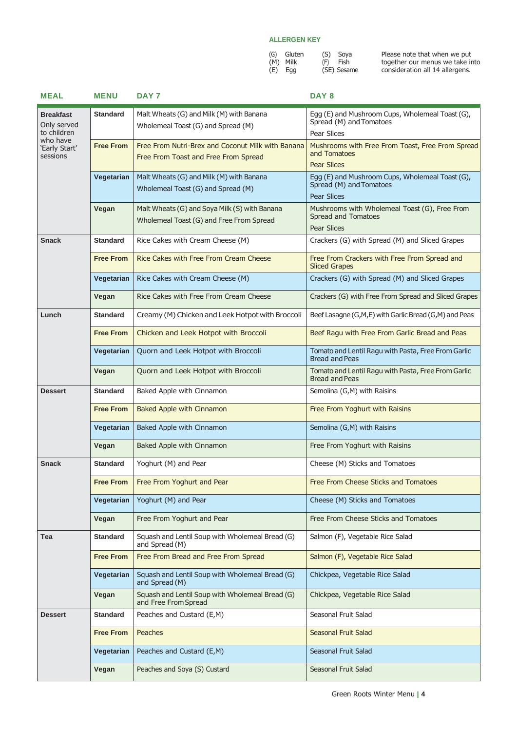| (G) Gluten | (S) Soya    |
|------------|-------------|
| (M) Milk   | (F) Fish    |
| $(E)$ Egg  | (SE) Sesame |

| <b>MEAL</b>                                                | <b>MENU</b>      | DAY 7                                                                                     | DAY <sub>8</sub>                                                                                 |
|------------------------------------------------------------|------------------|-------------------------------------------------------------------------------------------|--------------------------------------------------------------------------------------------------|
| <b>Breakfast</b><br>Only served<br>to children<br>who have | <b>Standard</b>  | Malt Wheats (G) and Milk (M) with Banana<br>Wholemeal Toast (G) and Spread (M)            | Egg (E) and Mushroom Cups, Wholemeal Toast (G),<br>Spread (M) and Tomatoes<br>Pear Slices        |
| 'Early Start'<br>sessions                                  | <b>Free From</b> | Free From Nutri-Brex and Coconut Milk with Banana<br>Free From Toast and Free From Spread | Mushrooms with Free From Toast, Free From Spread<br>and Tomatoes<br><b>Pear Slices</b>           |
|                                                            | Vegetarian       | Malt Wheats (G) and Milk (M) with Banana<br>Wholemeal Toast (G) and Spread (M)            | Egg (E) and Mushroom Cups, Wholemeal Toast (G),<br>Spread (M) and Tomatoes<br><b>Pear Slices</b> |
|                                                            | Vegan            | Malt Wheats (G) and Soya Milk (S) with Banana<br>Wholemeal Toast (G) and Free From Spread | Mushrooms with Wholemeal Toast (G), Free From<br>Spread and Tomatoes<br><b>Pear Slices</b>       |
| <b>Snack</b>                                               | <b>Standard</b>  | Rice Cakes with Cream Cheese (M)                                                          | Crackers (G) with Spread (M) and Sliced Grapes                                                   |
|                                                            | <b>Free From</b> | Rice Cakes with Free From Cream Cheese                                                    | Free From Crackers with Free From Spread and<br><b>Sliced Grapes</b>                             |
|                                                            | Vegetarian       | Rice Cakes with Cream Cheese (M)                                                          | Crackers (G) with Spread (M) and Sliced Grapes                                                   |
|                                                            | Vegan            | Rice Cakes with Free From Cream Cheese                                                    | Crackers (G) with Free From Spread and Sliced Grapes                                             |
| Lunch                                                      | <b>Standard</b>  | Creamy (M) Chicken and Leek Hotpot with Broccoli                                          | Beef Lasagne (G,M,E) with Garlic Bread (G,M) and Peas                                            |
|                                                            | <b>Free From</b> | Chicken and Leek Hotpot with Broccoli                                                     | Beef Ragu with Free From Garlic Bread and Peas                                                   |
|                                                            | Vegetarian       | Quorn and Leek Hotpot with Broccoli                                                       | Tomato and Lentil Ragu with Pasta, Free From Garlic<br><b>Bread and Peas</b>                     |
|                                                            | Vegan            | Quorn and Leek Hotpot with Broccoli                                                       | Tomato and Lentil Ragu with Pasta, Free From Garlic<br><b>Bread and Peas</b>                     |
| <b>Dessert</b>                                             | <b>Standard</b>  | Baked Apple with Cinnamon                                                                 | Semolina (G,M) with Raisins                                                                      |
|                                                            | <b>Free From</b> | <b>Baked Apple with Cinnamon</b>                                                          | Free From Yoghurt with Raisins                                                                   |
|                                                            | Vegetarian       | Baked Apple with Cinnamon                                                                 | Semolina (G,M) with Raisins                                                                      |
|                                                            | Vegan            | Baked Apple with Cinnamon                                                                 | Free From Yoghurt with Raisins                                                                   |
| <b>Snack</b>                                               | <b>Standard</b>  | Yoghurt (M) and Pear                                                                      | Cheese (M) Sticks and Tomatoes                                                                   |
|                                                            | <b>Free From</b> | Free From Yoghurt and Pear                                                                | Free From Cheese Sticks and Tomatoes                                                             |
|                                                            | Vegetarian       | Yoghurt (M) and Pear                                                                      | Cheese (M) Sticks and Tomatoes                                                                   |
|                                                            | Vegan            | Free From Yoghurt and Pear                                                                | Free From Cheese Sticks and Tomatoes                                                             |
| Tea                                                        | <b>Standard</b>  | Squash and Lentil Soup with Wholemeal Bread (G)<br>and Spread (M)                         | Salmon (F), Vegetable Rice Salad                                                                 |
|                                                            | <b>Free From</b> | Free From Bread and Free From Spread                                                      | Salmon (F), Vegetable Rice Salad                                                                 |
|                                                            | Vegetarian       | Squash and Lentil Soup with Wholemeal Bread (G)<br>and Spread (M)                         | Chickpea, Vegetable Rice Salad                                                                   |
|                                                            | Vegan            | Squash and Lentil Soup with Wholemeal Bread (G)<br>and Free From Spread                   | Chickpea, Vegetable Rice Salad                                                                   |
| <b>Dessert</b>                                             | <b>Standard</b>  | Peaches and Custard (E,M)                                                                 | Seasonal Fruit Salad                                                                             |
|                                                            | <b>Free From</b> | <b>Peaches</b>                                                                            | Seasonal Fruit Salad                                                                             |
|                                                            | Vegetarian       | Peaches and Custard (E,M)                                                                 | Seasonal Fruit Salad                                                                             |
|                                                            | Vegan            | Peaches and Soya (S) Custard                                                              | Seasonal Fruit Salad                                                                             |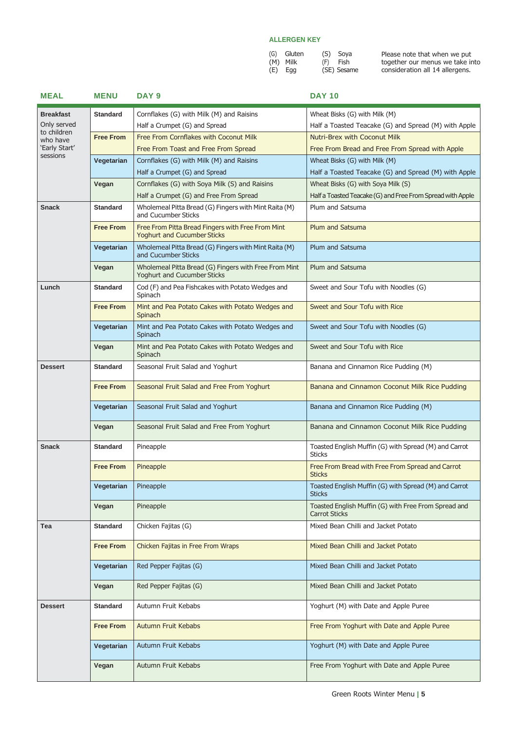| (G) | Gluten |  |
|-----|--------|--|
| (M) | Milk   |  |
| (E) | Egg    |  |

(S) Soya (F) Fish (SE) Sesame

| <b>MEAL</b>             | <b>MENU</b>      | DAY <sub>9</sub>                                                                        | <b>DAY 10</b>                                                                |
|-------------------------|------------------|-----------------------------------------------------------------------------------------|------------------------------------------------------------------------------|
| <b>Breakfast</b>        | <b>Standard</b>  | Cornflakes (G) with Milk (M) and Raisins                                                | Wheat Bisks (G) with Milk (M)                                                |
| Only served             |                  | Half a Crumpet (G) and Spread                                                           | Half a Toasted Teacake (G) and Spread (M) with Apple                         |
| to children<br>who have | <b>Free From</b> | Free From Cornflakes with Coconut Milk                                                  | <b>Nutri-Brex with Coconut Milk</b>                                          |
| 'Early Start'           |                  | Free From Toast and Free From Spread                                                    | Free From Bread and Free From Spread with Apple                              |
| sessions                | Vegetarian       | Cornflakes (G) with Milk (M) and Raisins                                                | Wheat Bisks (G) with Milk (M)                                                |
|                         |                  | Half a Crumpet (G) and Spread                                                           | Half a Toasted Teacake (G) and Spread (M) with Apple                         |
|                         | Vegan            | Cornflakes (G) with Soya Milk (S) and Raisins                                           | Wheat Bisks (G) with Soya Milk (S)                                           |
|                         |                  | Half a Crumpet (G) and Free From Spread                                                 | Half a Toasted Teacake (G) and Free From Spread with Apple                   |
| <b>Snack</b>            | <b>Standard</b>  | Wholemeal Pitta Bread (G) Fingers with Mint Raita (M)<br>and Cucumber Sticks            | Plum and Satsuma                                                             |
|                         | <b>Free From</b> | Free From Pitta Bread Fingers with Free From Mint<br><b>Yoghurt and Cucumber Sticks</b> | Plum and Satsuma                                                             |
|                         | Vegetarian       | Wholemeal Pitta Bread (G) Fingers with Mint Raita (M)<br>and Cucumber Sticks            | Plum and Satsuma                                                             |
|                         | Vegan            | Wholemeal Pitta Bread (G) Fingers with Free From Mint<br>Yoghurt and Cucumber Sticks    | Plum and Satsuma                                                             |
| Lunch                   | <b>Standard</b>  | Cod (F) and Pea Fishcakes with Potato Wedges and<br>Spinach                             | Sweet and Sour Tofu with Noodles (G)                                         |
|                         | <b>Free From</b> | Mint and Pea Potato Cakes with Potato Wedges and<br>Spinach                             | Sweet and Sour Tofu with Rice                                                |
|                         | Vegetarian       | Mint and Pea Potato Cakes with Potato Wedges and<br>Spinach                             | Sweet and Sour Tofu with Noodles (G)                                         |
|                         | Vegan            | Mint and Pea Potato Cakes with Potato Wedges and<br>Spinach                             | Sweet and Sour Tofu with Rice                                                |
| <b>Dessert</b>          | <b>Standard</b>  | Seasonal Fruit Salad and Yoghurt                                                        | Banana and Cinnamon Rice Pudding (M)                                         |
|                         | <b>Free From</b> | Seasonal Fruit Salad and Free From Yoghurt                                              | Banana and Cinnamon Coconut Milk Rice Pudding                                |
|                         | Vegetarian       | Seasonal Fruit Salad and Yoghurt                                                        | Banana and Cinnamon Rice Pudding (M)                                         |
|                         | Vegan            | Seasonal Fruit Salad and Free From Yoghurt                                              | Banana and Cinnamon Coconut Milk Rice Pudding                                |
| <b>Snack</b>            | <b>Standard</b>  | Pineapple                                                                               | Toasted English Muffin (G) with Spread (M) and Carrot<br><b>Sticks</b>       |
|                         | <b>Free From</b> | Pineapple                                                                               | Free From Bread with Free From Spread and Carrot<br><b>Sticks</b>            |
|                         | Vegetarian       | Pineapple                                                                               | Toasted English Muffin (G) with Spread (M) and Carrot<br><b>Sticks</b>       |
|                         | Vegan            | Pineapple                                                                               | Toasted English Muffin (G) with Free From Spread and<br><b>Carrot Sticks</b> |
| Tea                     | <b>Standard</b>  | Chicken Fajitas (G)                                                                     | Mixed Bean Chilli and Jacket Potato                                          |
|                         | <b>Free From</b> | Chicken Fajitas in Free From Wraps                                                      | Mixed Bean Chilli and Jacket Potato                                          |
|                         | Vegetarian       | Red Pepper Fajitas (G)                                                                  | Mixed Bean Chilli and Jacket Potato                                          |
|                         | Vegan            | Red Pepper Fajitas (G)                                                                  | Mixed Bean Chilli and Jacket Potato                                          |
| <b>Dessert</b>          | <b>Standard</b>  | Autumn Fruit Kebabs                                                                     | Yoghurt (M) with Date and Apple Puree                                        |
|                         | <b>Free From</b> | Autumn Fruit Kebabs                                                                     | Free From Yoghurt with Date and Apple Puree                                  |
|                         | Vegetarian       | Autumn Fruit Kebabs                                                                     | Yoghurt (M) with Date and Apple Puree                                        |
|                         | Vegan            | Autumn Fruit Kebabs                                                                     | Free From Yoghurt with Date and Apple Puree                                  |